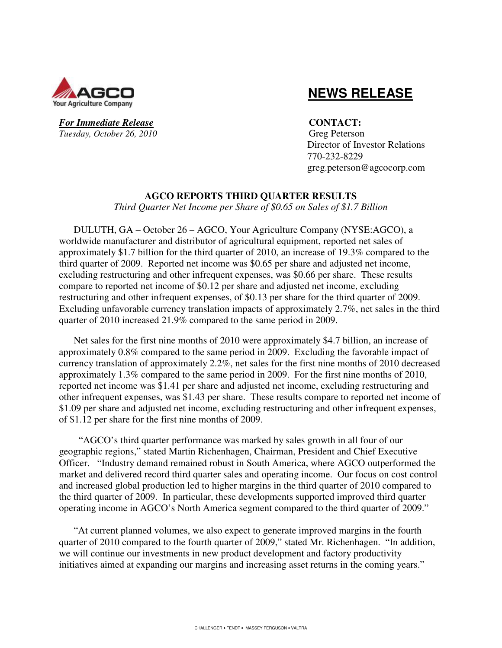

# **NEWS RELEASE**

*For Immediate Release* **CONTACT: Tuesday, October 26, 2010** Greg Peterson

 Director of Investor Relations 770-232-8229 greg.peterson@agcocorp.com

# **AGCO REPORTS THIRD QUARTER RESULTS**

*Third Quarter Net Income per Share of \$0.65 on Sales of \$1.7 Billion* 

DULUTH, GA – October 26 – AGCO, Your Agriculture Company (NYSE:AGCO), a worldwide manufacturer and distributor of agricultural equipment, reported net sales of approximately \$1.7 billion for the third quarter of 2010, an increase of 19.3% compared to the third quarter of 2009. Reported net income was \$0.65 per share and adjusted net income, excluding restructuring and other infrequent expenses, was \$0.66 per share. These results compare to reported net income of \$0.12 per share and adjusted net income, excluding restructuring and other infrequent expenses, of \$0.13 per share for the third quarter of 2009. Excluding unfavorable currency translation impacts of approximately 2.7%, net sales in the third quarter of 2010 increased 21.9% compared to the same period in 2009.

Net sales for the first nine months of 2010 were approximately \$4.7 billion, an increase of approximately 0.8% compared to the same period in 2009. Excluding the favorable impact of currency translation of approximately 2.2%, net sales for the first nine months of 2010 decreased approximately 1.3% compared to the same period in 2009. For the first nine months of 2010, reported net income was \$1.41 per share and adjusted net income, excluding restructuring and other infrequent expenses, was \$1.43 per share. These results compare to reported net income of \$1.09 per share and adjusted net income, excluding restructuring and other infrequent expenses, of \$1.12 per share for the first nine months of 2009.

 "AGCO's third quarter performance was marked by sales growth in all four of our geographic regions," stated Martin Richenhagen, Chairman, President and Chief Executive Officer. "Industry demand remained robust in South America, where AGCO outperformed the market and delivered record third quarter sales and operating income. Our focus on cost control and increased global production led to higher margins in the third quarter of 2010 compared to the third quarter of 2009. In particular, these developments supported improved third quarter operating income in AGCO's North America segment compared to the third quarter of 2009."

"At current planned volumes, we also expect to generate improved margins in the fourth quarter of 2010 compared to the fourth quarter of 2009," stated Mr. Richenhagen. "In addition, we will continue our investments in new product development and factory productivity initiatives aimed at expanding our margins and increasing asset returns in the coming years."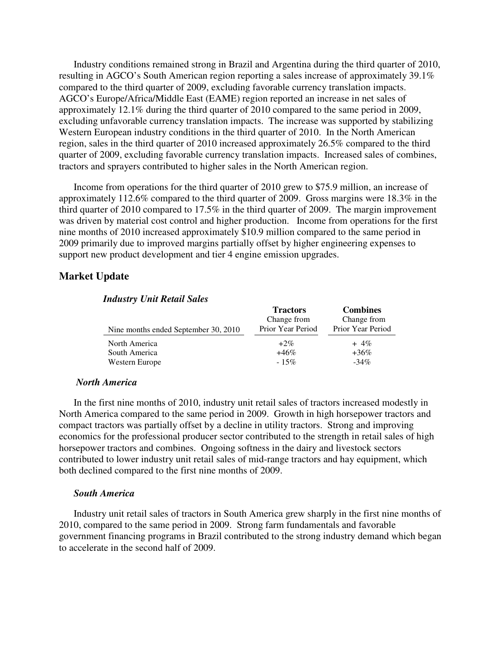Industry conditions remained strong in Brazil and Argentina during the third quarter of 2010, resulting in AGCO's South American region reporting a sales increase of approximately 39.1% compared to the third quarter of 2009, excluding favorable currency translation impacts. AGCO's Europe/Africa/Middle East (EAME) region reported an increase in net sales of approximately 12.1% during the third quarter of 2010 compared to the same period in 2009, excluding unfavorable currency translation impacts. The increase was supported by stabilizing Western European industry conditions in the third quarter of 2010. In the North American region, sales in the third quarter of 2010 increased approximately 26.5% compared to the third quarter of 2009, excluding favorable currency translation impacts. Increased sales of combines, tractors and sprayers contributed to higher sales in the North American region.

Income from operations for the third quarter of 2010 grew to \$75.9 million, an increase of approximately 112.6% compared to the third quarter of 2009. Gross margins were 18.3% in the third quarter of 2010 compared to 17.5% in the third quarter of 2009. The margin improvement was driven by material cost control and higher production. Income from operations for the first nine months of 2010 increased approximately \$10.9 million compared to the same period in 2009 primarily due to improved margins partially offset by higher engineering expenses to support new product development and tier 4 engine emission upgrades.

# **Market Update**

| <b>Tractors</b>   | <b>Combines</b>   |
|-------------------|-------------------|
| Change from       | Change from       |
| Prior Year Period | Prior Year Period |
| $+2\%$            | $+4\%$            |
| $+46\%$           | $+36\%$           |
| $-15%$            | $-34\%$           |
|                   |                   |

# *Industry Unit Retail Sales*

#### *North America*

In the first nine months of 2010, industry unit retail sales of tractors increased modestly in North America compared to the same period in 2009. Growth in high horsepower tractors and compact tractors was partially offset by a decline in utility tractors. Strong and improving economics for the professional producer sector contributed to the strength in retail sales of high horsepower tractors and combines. Ongoing softness in the dairy and livestock sectors contributed to lower industry unit retail sales of mid-range tractors and hay equipment, which both declined compared to the first nine months of 2009.

#### *South America*

Industry unit retail sales of tractors in South America grew sharply in the first nine months of 2010, compared to the same period in 2009. Strong farm fundamentals and favorable government financing programs in Brazil contributed to the strong industry demand which began to accelerate in the second half of 2009.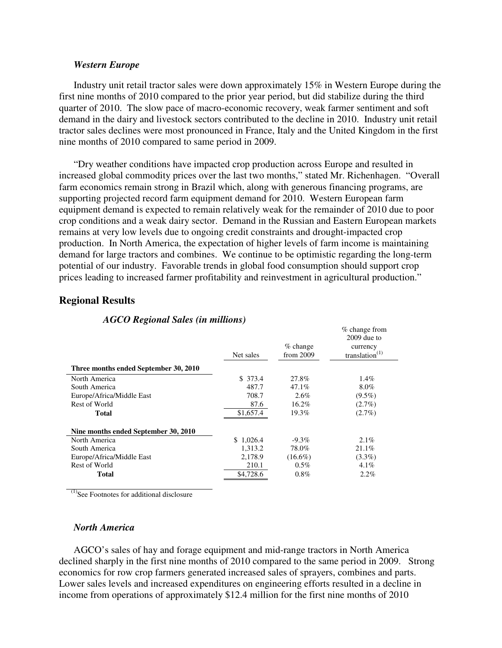### *Western Europe*

Industry unit retail tractor sales were down approximately 15% in Western Europe during the first nine months of 2010 compared to the prior year period, but did stabilize during the third quarter of 2010. The slow pace of macro-economic recovery, weak farmer sentiment and soft demand in the dairy and livestock sectors contributed to the decline in 2010. Industry unit retail tractor sales declines were most pronounced in France, Italy and the United Kingdom in the first nine months of 2010 compared to same period in 2009.

"Dry weather conditions have impacted crop production across Europe and resulted in increased global commodity prices over the last two months," stated Mr. Richenhagen. "Overall farm economics remain strong in Brazil which, along with generous financing programs, are supporting projected record farm equipment demand for 2010. Western European farm equipment demand is expected to remain relatively weak for the remainder of 2010 due to poor crop conditions and a weak dairy sector. Demand in the Russian and Eastern European markets remains at very low levels due to ongoing credit constraints and drought-impacted crop production. In North America, the expectation of higher levels of farm income is maintaining demand for large tractors and combines. We continue to be optimistic regarding the long-term potential of our industry. Favorable trends in global food consumption should support crop prices leading to increased farmer profitability and reinvestment in agricultural production."

% change from

# **Regional Results**

|                                       | Net sales | $%$ change<br>from 2009 | $2009$ due to<br>currency<br>translation $^{(1)}$ |
|---------------------------------------|-----------|-------------------------|---------------------------------------------------|
| Three months ended September 30, 2010 |           |                         |                                                   |
| North America                         | \$373.4   | 27.8%                   | 1.4%                                              |
| South America                         | 487.7     | 47.1%                   | $8.0\%$                                           |
| Europe/Africa/Middle East             | 708.7     | 2.6%                    | $(9.5\%)$                                         |
| Rest of World                         | 87.6      | 16.2%                   | $(2.7\%)$                                         |
| <b>Total</b>                          | \$1,657.4 | 19.3%                   | $(2.7\%)$                                         |
| Nine months ended September 30, 2010  |           |                         |                                                   |
| North America                         | \$1,026.4 | $-9.3\%$                | $2.1\%$                                           |
| South America                         | 1,313.2   | 78.0%                   | 21.1%                                             |
| Europe/Africa/Middle East             | 2,178.9   | $(16.6\%)$              | $(3.3\%)$                                         |
| Rest of World                         | 210.1     | $0.5\%$                 | $4.1\%$                                           |
| <b>Total</b>                          | \$4,728.6 | $0.8\%$                 | $2.2\%$                                           |

### *AGCO Regional Sales (in millions)*

 $^{(1)}$ See Footnotes for additional disclosure

# *North America*

AGCO's sales of hay and forage equipment and mid-range tractors in North America declined sharply in the first nine months of 2010 compared to the same period in 2009. Strong economics for row crop farmers generated increased sales of sprayers, combines and parts. Lower sales levels and increased expenditures on engineering efforts resulted in a decline in income from operations of approximately \$12.4 million for the first nine months of 2010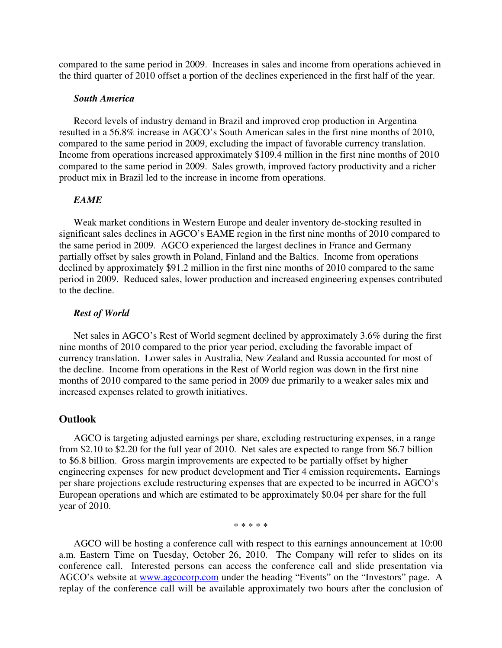compared to the same period in 2009. Increases in sales and income from operations achieved in the third quarter of 2010 offset a portion of the declines experienced in the first half of the year.

# *South America*

Record levels of industry demand in Brazil and improved crop production in Argentina resulted in a 56.8% increase in AGCO's South American sales in the first nine months of 2010, compared to the same period in 2009, excluding the impact of favorable currency translation. Income from operations increased approximately \$109.4 million in the first nine months of 2010 compared to the same period in 2009. Sales growth, improved factory productivity and a richer product mix in Brazil led to the increase in income from operations.

# *EAME*

Weak market conditions in Western Europe and dealer inventory de-stocking resulted in significant sales declines in AGCO's EAME region in the first nine months of 2010 compared to the same period in 2009. AGCO experienced the largest declines in France and Germany partially offset by sales growth in Poland, Finland and the Baltics. Income from operations declined by approximately \$91.2 million in the first nine months of 2010 compared to the same period in 2009. Reduced sales, lower production and increased engineering expenses contributed to the decline.

#### *Rest of World*

Net sales in AGCO's Rest of World segment declined by approximately 3.6% during the first nine months of 2010 compared to the prior year period, excluding the favorable impact of currency translation. Lower sales in Australia, New Zealand and Russia accounted for most of the decline. Income from operations in the Rest of World region was down in the first nine months of 2010 compared to the same period in 2009 due primarily to a weaker sales mix and increased expenses related to growth initiatives.

# **Outlook**

AGCO is targeting adjusted earnings per share, excluding restructuring expenses, in a range from \$2.10 to \$2.20 for the full year of 2010. Net sales are expected to range from \$6.7 billion to \$6.8 billion. Gross margin improvements are expected to be partially offset by higher engineering expenses for new product development and Tier 4 emission requirements**.** Earnings per share projections exclude restructuring expenses that are expected to be incurred in AGCO's European operations and which are estimated to be approximately \$0.04 per share for the full year of 2010.

\* \* \* \* \*

AGCO will be hosting a conference call with respect to this earnings announcement at 10:00 a.m. Eastern Time on Tuesday, October 26, 2010. The Company will refer to slides on its conference call. Interested persons can access the conference call and slide presentation via AGCO's website at www.agcocorp.com under the heading "Events" on the "Investors" page. A replay of the conference call will be available approximately two hours after the conclusion of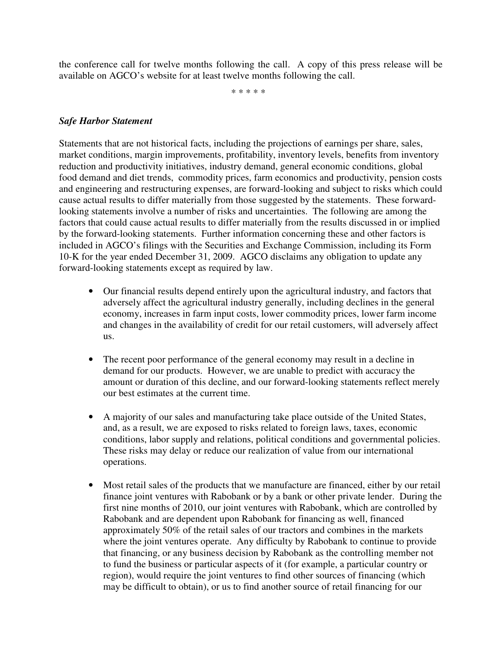the conference call for twelve months following the call. A copy of this press release will be available on AGCO's website for at least twelve months following the call.

\* \* \* \* \*

# *Safe Harbor Statement*

Statements that are not historical facts, including the projections of earnings per share, sales, market conditions, margin improvements, profitability, inventory levels, benefits from inventory reduction and productivity initiatives, industry demand, general economic conditions, global food demand and diet trends, commodity prices, farm economics and productivity, pension costs and engineering and restructuring expenses, are forward-looking and subject to risks which could cause actual results to differ materially from those suggested by the statements. These forwardlooking statements involve a number of risks and uncertainties. The following are among the factors that could cause actual results to differ materially from the results discussed in or implied by the forward-looking statements. Further information concerning these and other factors is included in AGCO's filings with the Securities and Exchange Commission, including its Form 10-K for the year ended December 31, 2009. AGCO disclaims any obligation to update any forward-looking statements except as required by law.

- Our financial results depend entirely upon the agricultural industry, and factors that adversely affect the agricultural industry generally, including declines in the general economy, increases in farm input costs, lower commodity prices, lower farm income and changes in the availability of credit for our retail customers, will adversely affect us.
- The recent poor performance of the general economy may result in a decline in demand for our products. However, we are unable to predict with accuracy the amount or duration of this decline, and our forward-looking statements reflect merely our best estimates at the current time.
- A majority of our sales and manufacturing take place outside of the United States, and, as a result, we are exposed to risks related to foreign laws, taxes, economic conditions, labor supply and relations, political conditions and governmental policies. These risks may delay or reduce our realization of value from our international operations.
- Most retail sales of the products that we manufacture are financed, either by our retail finance joint ventures with Rabobank or by a bank or other private lender. During the first nine months of 2010, our joint ventures with Rabobank, which are controlled by Rabobank and are dependent upon Rabobank for financing as well, financed approximately 50% of the retail sales of our tractors and combines in the markets where the joint ventures operate. Any difficulty by Rabobank to continue to provide that financing, or any business decision by Rabobank as the controlling member not to fund the business or particular aspects of it (for example, a particular country or region), would require the joint ventures to find other sources of financing (which may be difficult to obtain), or us to find another source of retail financing for our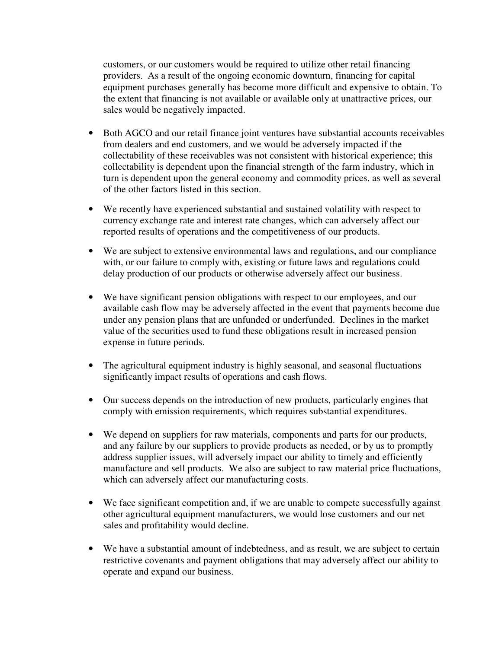customers, or our customers would be required to utilize other retail financing providers. As a result of the ongoing economic downturn, financing for capital equipment purchases generally has become more difficult and expensive to obtain. To the extent that financing is not available or available only at unattractive prices, our sales would be negatively impacted.

- Both AGCO and our retail finance joint ventures have substantial accounts receivables from dealers and end customers, and we would be adversely impacted if the collectability of these receivables was not consistent with historical experience; this collectability is dependent upon the financial strength of the farm industry, which in turn is dependent upon the general economy and commodity prices, as well as several of the other factors listed in this section.
- We recently have experienced substantial and sustained volatility with respect to currency exchange rate and interest rate changes, which can adversely affect our reported results of operations and the competitiveness of our products.
- We are subject to extensive environmental laws and regulations, and our compliance with, or our failure to comply with, existing or future laws and regulations could delay production of our products or otherwise adversely affect our business.
- We have significant pension obligations with respect to our employees, and our available cash flow may be adversely affected in the event that payments become due under any pension plans that are unfunded or underfunded. Declines in the market value of the securities used to fund these obligations result in increased pension expense in future periods.
- The agricultural equipment industry is highly seasonal, and seasonal fluctuations significantly impact results of operations and cash flows.
- Our success depends on the introduction of new products, particularly engines that comply with emission requirements, which requires substantial expenditures.
- We depend on suppliers for raw materials, components and parts for our products, and any failure by our suppliers to provide products as needed, or by us to promptly address supplier issues, will adversely impact our ability to timely and efficiently manufacture and sell products. We also are subject to raw material price fluctuations, which can adversely affect our manufacturing costs.
- We face significant competition and, if we are unable to compete successfully against other agricultural equipment manufacturers, we would lose customers and our net sales and profitability would decline.
- We have a substantial amount of indebtedness, and as result, we are subject to certain restrictive covenants and payment obligations that may adversely affect our ability to operate and expand our business.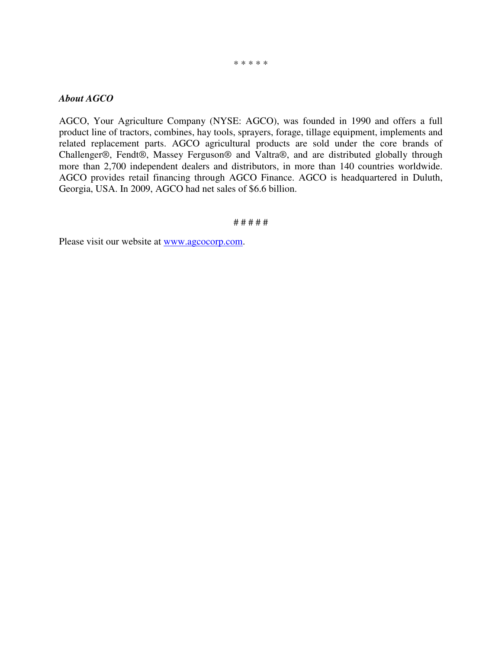#### \* \* \* \* \*

# *About AGCO*

AGCO, Your Agriculture Company (NYSE: AGCO), was founded in 1990 and offers a full product line of tractors, combines, hay tools, sprayers, forage, tillage equipment, implements and related replacement parts. AGCO agricultural products are sold under the core brands of Challenger®, Fendt®, Massey Ferguson® and Valtra®, and are distributed globally through more than 2,700 independent dealers and distributors, in more than 140 countries worldwide. AGCO provides retail financing through AGCO Finance. AGCO is headquartered in Duluth, Georgia, USA. In 2009, AGCO had net sales of \$6.6 billion.

#### # # # # #

Please visit our website at www.agcocorp.com.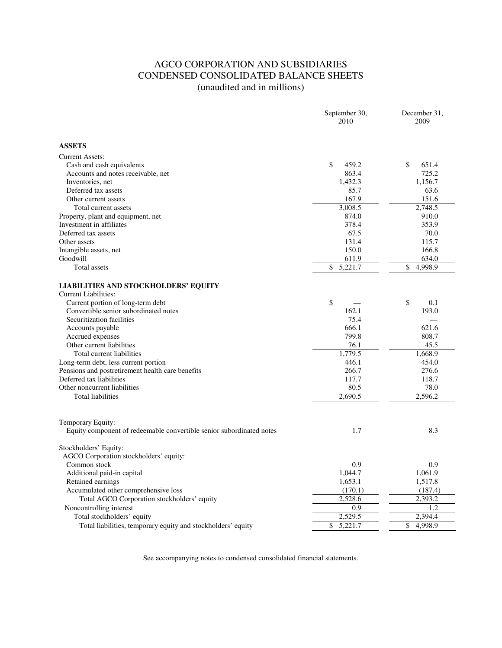# AGCO CORPORATION AND SUBSIDIARIES CONDENSED CONSOLIDATED BALANCE SHEETS (unaudited and in millions)

|                                                                      | September 30,<br>2010 | December 31,<br>2009 |
|----------------------------------------------------------------------|-----------------------|----------------------|
| <b>ASSETS</b>                                                        |                       |                      |
| <b>Current Assets:</b>                                               |                       |                      |
| Cash and cash equivalents                                            | \$<br>459.2           | \$<br>651.4          |
| Accounts and notes receivable, net                                   | 863.4                 | 725.2                |
| Inventories, net                                                     | 1,432.3               | 1,156.7              |
| Deferred tax assets                                                  | 85.7                  | 63.6                 |
| Other current assets                                                 | 167.9                 | 151.6                |
| Total current assets                                                 | 3,008.5               | 2,748.5              |
| Property, plant and equipment, net                                   | 874.0                 | 910.0                |
| Investment in affiliates                                             | 378.4                 | 353.9                |
| Deferred tax assets                                                  | 67.5                  | 70.0                 |
| Other assets                                                         | 131.4                 | 115.7                |
| Intangible assets, net                                               | 150.0                 | 166.8                |
| Goodwill                                                             | 611.9                 | 634.0                |
| Total assets                                                         | \$<br>5,221.7         | \$<br>4,998.9        |
| LIABILITIES AND STOCKHOLDERS' EQUITY                                 |                       |                      |
| <b>Current Liabilities:</b>                                          |                       |                      |
| Current portion of long-term debt                                    | \$                    | \$<br>0.1            |
| Convertible senior subordinated notes                                | 162.1                 | 193.0                |
| Securitization facilities                                            | 75.4                  |                      |
| Accounts payable                                                     | 666.1                 | 621.6                |
| Accrued expenses                                                     | 799.8                 | 808.7                |
| Other current liabilities                                            | 76.1                  | 45.5                 |
| Total current liabilities                                            | 1,779.5               | 1.668.9              |
| Long-term debt, less current portion                                 | 446.1                 | 454.0                |
| Pensions and postretirement health care benefits                     | 266.7                 | 276.6                |
| Deferred tax liabilities                                             | 117.7                 | 118.7                |
| Other noncurrent liabilities                                         | 80.5                  | 78.0                 |
| <b>Total liabilities</b>                                             | 2.690.5               | 2.596.2              |
| Temporary Equity:                                                    |                       |                      |
| Equity component of redeemable convertible senior subordinated notes | 1.7                   | 8.3                  |
| Stockholders' Equity:                                                |                       |                      |
| AGCO Corporation stockholders' equity:                               |                       |                      |
| Common stock                                                         | 0.9                   | 0.9                  |
| Additional paid-in capital                                           | 1,044.7               | 1,061.9              |
| Retained earnings                                                    | 1,653.1               | 1,517.8              |
| Accumulated other comprehensive loss                                 | (170.1)               | (187.4)              |
| Total AGCO Corporation stockholders' equity                          | 2,528.6               | 2,393.2              |
| Noncontrolling interest                                              | 0.9                   | 1.2                  |
| Total stockholders' equity                                           | 2,529.5               | 2,394.4              |
| Total liabilities, temporary equity and stockholders' equity         | \$<br>5,221.7         | \$<br>4,998.9        |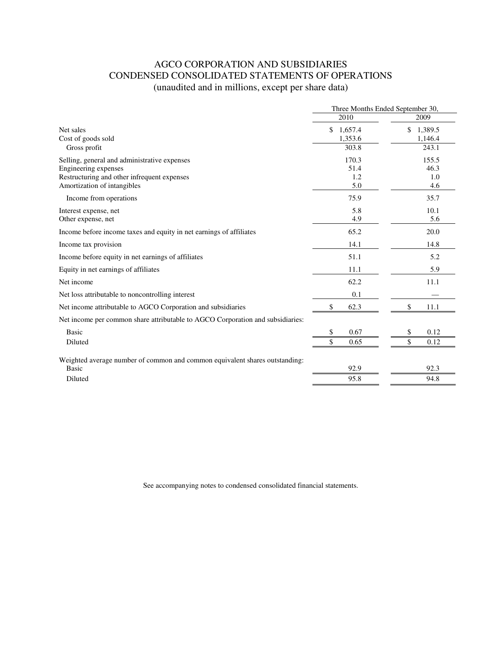# AGCO CORPORATION AND SUBSIDIARIES CONDENSED CONSOLIDATED STATEMENTS OF OPERATIONS (unaudited and in millions, except per share data)

|                                                                                | Three Months Ended September 30, |                          |  |
|--------------------------------------------------------------------------------|----------------------------------|--------------------------|--|
|                                                                                | 2010                             | 2009                     |  |
| Net sales<br>Cost of goods sold                                                | \$<br>1,657.4<br>1,353.6         | \$<br>1,389.5<br>1,146.4 |  |
| Gross profit                                                                   | 303.8                            | 243.1                    |  |
| Selling, general and administrative expenses                                   | 170.3                            | 155.5                    |  |
| Engineering expenses                                                           | 51.4                             | 46.3                     |  |
| Restructuring and other infrequent expenses                                    | 1.2                              | 1.0                      |  |
| Amortization of intangibles                                                    | 5.0                              | 4.6                      |  |
| Income from operations                                                         | 75.9                             | 35.7                     |  |
| Interest expense, net                                                          | 5.8                              | 10.1                     |  |
| Other expense, net                                                             | 4.9                              | 5.6                      |  |
| Income before income taxes and equity in net earnings of affiliates            | 65.2                             | 20.0                     |  |
| Income tax provision                                                           | 14.1                             | 14.8                     |  |
| Income before equity in net earnings of affiliates                             | 51.1                             | 5.2                      |  |
| Equity in net earnings of affiliates                                           | 11.1                             | 5.9                      |  |
| Net income                                                                     | 62.2                             | 11.1                     |  |
| Net loss attributable to noncontrolling interest                               | 0.1                              |                          |  |
| Net income attributable to AGCO Corporation and subsidiaries                   | \$<br>62.3                       | \$<br>11.1               |  |
| Net income per common share attributable to AGCO Corporation and subsidiaries: |                                  |                          |  |
| <b>Basic</b>                                                                   | 0.67<br>\$                       | 0.12<br>\$               |  |
| Diluted                                                                        | 0.65                             | \$<br>0.12               |  |
| Weighted average number of common and common equivalent shares outstanding:    |                                  |                          |  |
| <b>Basic</b>                                                                   | 92.9                             | 92.3                     |  |
| Diluted                                                                        | 95.8                             | 94.8                     |  |
|                                                                                |                                  |                          |  |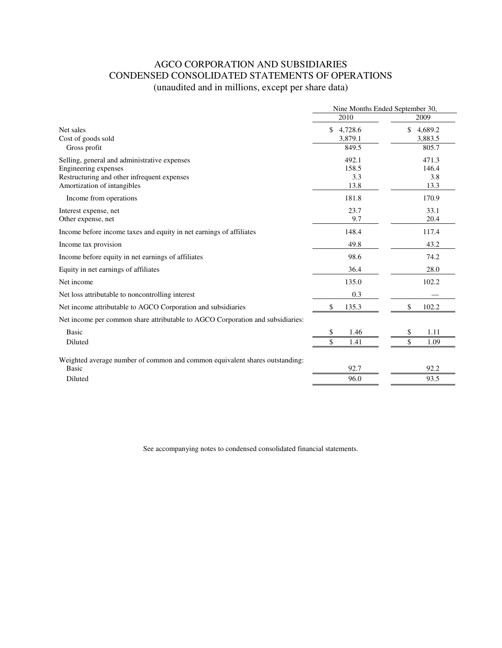# AGCO CORPORATION AND SUBSIDIARIES CONDENSED CONSOLIDATED STATEMENTS OF OPERATIONS (unaudited and in millions, except per share data)

|                                                                                |               | Nine Months Ended September 30, |
|--------------------------------------------------------------------------------|---------------|---------------------------------|
|                                                                                | 2010          | 2009                            |
| Net sales                                                                      | \$<br>4,728.6 | \$<br>4,689.2                   |
| Cost of goods sold                                                             | 3,879.1       | 3,883.5                         |
| Gross profit                                                                   | 849.5         | 805.7                           |
| Selling, general and administrative expenses                                   | 492.1         | 471.3                           |
| Engineering expenses                                                           | 158.5         | 146.4                           |
| Restructuring and other infrequent expenses                                    | 3.3           | 3.8                             |
| Amortization of intangibles                                                    | 13.8          | 13.3                            |
| Income from operations                                                         | 181.8         | 170.9                           |
| Interest expense, net                                                          | 23.7          | 33.1                            |
| Other expense, net                                                             | 9.7           | 20.4                            |
| Income before income taxes and equity in net earnings of affiliates            | 148.4         | 117.4                           |
| Income tax provision                                                           | 49.8          | 43.2                            |
| Income before equity in net earnings of affiliates                             | 98.6          | 74.2                            |
| Equity in net earnings of affiliates                                           | 36.4          | 28.0                            |
| Net income                                                                     | 135.0         | 102.2                           |
| Net loss attributable to noncontrolling interest                               | 0.3           |                                 |
| Net income attributable to AGCO Corporation and subsidiaries                   | \$<br>135.3   | \$<br>102.2                     |
| Net income per common share attributable to AGCO Corporation and subsidiaries: |               |                                 |
| <b>Basic</b>                                                                   | \$<br>1.46    | \$<br>1.11                      |
| Diluted                                                                        | \$<br>1.41    | \$<br>1.09                      |
| Weighted average number of common and common equivalent shares outstanding:    |               |                                 |
| Basic                                                                          | 92.7          | 92.2                            |
| Diluted                                                                        | 96.0          | 93.5                            |
|                                                                                |               |                                 |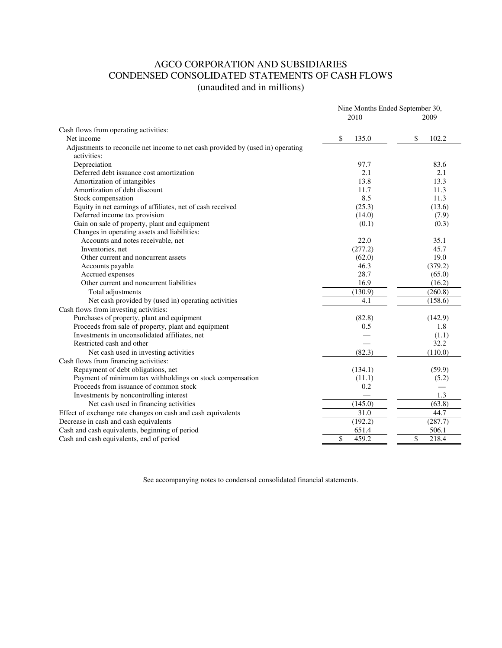# AGCO CORPORATION AND SUBSIDIARIES CONDENSED CONSOLIDATED STATEMENTS OF CASH FLOWS (unaudited and in millions)

|                                                                                                | Nine Months Ended September 30, |             |  |
|------------------------------------------------------------------------------------------------|---------------------------------|-------------|--|
|                                                                                                | 2010                            | 2009        |  |
| Cash flows from operating activities:                                                          |                                 |             |  |
| Net income                                                                                     | \$<br>135.0                     | \$<br>102.2 |  |
| Adjustments to reconcile net income to net cash provided by (used in) operating<br>activities: |                                 |             |  |
| Depreciation                                                                                   | 97.7                            | 83.6        |  |
| Deferred debt issuance cost amortization                                                       | 2.1                             | 2.1         |  |
| Amortization of intangibles                                                                    | 13.8                            | 13.3        |  |
| Amortization of debt discount                                                                  | 11.7                            | 11.3        |  |
| Stock compensation                                                                             | 8.5                             | 11.3        |  |
| Equity in net earnings of affiliates, net of cash received                                     | (25.3)                          | (13.6)      |  |
| Deferred income tax provision                                                                  | (14.0)                          | (7.9)       |  |
| Gain on sale of property, plant and equipment                                                  | (0.1)                           | (0.3)       |  |
| Changes in operating assets and liabilities:                                                   |                                 |             |  |
| Accounts and notes receivable, net                                                             | 22.0                            | 35.1        |  |
| Inventories, net                                                                               | (277.2)                         | 45.7        |  |
| Other current and noncurrent assets                                                            | (62.0)                          | 19.0        |  |
| Accounts payable                                                                               | 46.3                            | (379.2)     |  |
| Accrued expenses                                                                               | 28.7                            | (65.0)      |  |
| Other current and noncurrent liabilities                                                       | 16.9                            | (16.2)      |  |
| Total adjustments                                                                              | (130.9)                         | (260.8)     |  |
| Net cash provided by (used in) operating activities                                            | 4.1                             | (158.6)     |  |
| Cash flows from investing activities:                                                          |                                 |             |  |
| Purchases of property, plant and equipment                                                     | (82.8)                          | (142.9)     |  |
| Proceeds from sale of property, plant and equipment                                            | 0.5                             | 1.8         |  |
| Investments in unconsolidated affiliates, net                                                  |                                 | (1.1)       |  |
| Restricted cash and other                                                                      |                                 | 32.2        |  |
| Net cash used in investing activities                                                          | (82.3)                          | (110.0)     |  |
| Cash flows from financing activities:                                                          |                                 |             |  |
| Repayment of debt obligations, net                                                             | (134.1)                         | (59.9)      |  |
| Payment of minimum tax withholdings on stock compensation                                      | (11.1)                          | (5.2)       |  |
| Proceeds from issuance of common stock                                                         | 0.2                             |             |  |
| Investments by noncontrolling interest                                                         |                                 | 1.3         |  |
| Net cash used in financing activities                                                          | (145.0)                         | (63.8)      |  |
| Effect of exchange rate changes on cash and cash equivalents                                   | 31.0                            | 44.7        |  |
| Decrease in cash and cash equivalents                                                          | (192.2)                         | (287.7)     |  |
| Cash and cash equivalents, beginning of period                                                 | 651.4                           | 506.1       |  |
| Cash and cash equivalents, end of period                                                       | \$<br>459.2                     | \$<br>218.4 |  |
|                                                                                                |                                 |             |  |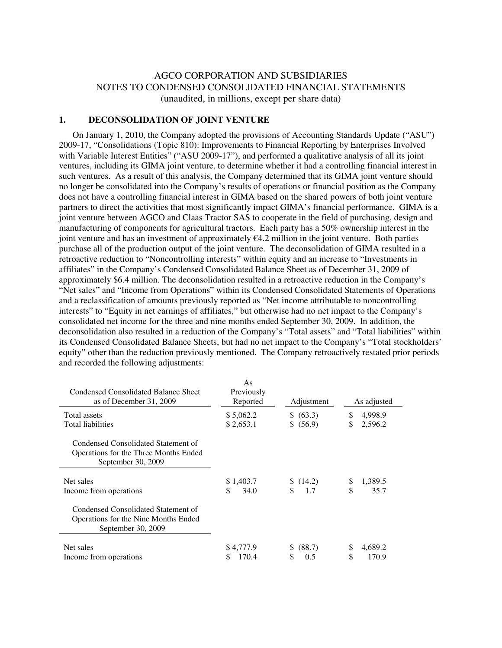# AGCO CORPORATION AND SUBSIDIARIES NOTES TO CONDENSED CONSOLIDATED FINANCIAL STATEMENTS (unaudited, in millions, except per share data)

### **1. DECONSOLIDATION OF JOINT VENTURE**

 On January 1, 2010, the Company adopted the provisions of Accounting Standards Update ("ASU") 2009-17, "Consolidations (Topic 810): Improvements to Financial Reporting by Enterprises Involved with Variable Interest Entities" ("ASU 2009-17"), and performed a qualitative analysis of all its joint ventures, including its GIMA joint venture, to determine whether it had a controlling financial interest in such ventures. As a result of this analysis, the Company determined that its GIMA joint venture should no longer be consolidated into the Company's results of operations or financial position as the Company does not have a controlling financial interest in GIMA based on the shared powers of both joint venture partners to direct the activities that most significantly impact GIMA's financial performance. GIMA is a joint venture between AGCO and Claas Tractor SAS to cooperate in the field of purchasing, design and manufacturing of components for agricultural tractors. Each party has a 50% ownership interest in the joint venture and has an investment of approximately  $64.2$  million in the joint venture. Both parties purchase all of the production output of the joint venture. The deconsolidation of GIMA resulted in a retroactive reduction to "Noncontrolling interests" within equity and an increase to "Investments in affiliates" in the Company's Condensed Consolidated Balance Sheet as of December 31, 2009 of approximately \$6.4 million. The deconsolidation resulted in a retroactive reduction in the Company's "Net sales" and "Income from Operations" within its Condensed Consolidated Statements of Operations and a reclassification of amounts previously reported as "Net income attributable to noncontrolling interests" to "Equity in net earnings of affiliates," but otherwise had no net impact to the Company's consolidated net income for the three and nine months ended September 30, 2009. In addition, the deconsolidation also resulted in a reduction of the Company's "Total assets" and "Total liabilities" within its Condensed Consolidated Balance Sheets, but had no net impact to the Company's "Total stockholders' equity" other than the reduction previously mentioned. The Company retroactively restated prior periods and recorded the following adjustments:

| Condensed Consolidated Balance Sheet<br>as of December 31, 2009                                    | As<br>Previously<br>Reported | Adjustment   |    | As adjusted |
|----------------------------------------------------------------------------------------------------|------------------------------|--------------|----|-------------|
| Total assets                                                                                       | \$5,062.2                    | \$ (63.3)    | S  | 4,998.9     |
| Total liabilities                                                                                  | \$2,653.1                    | \$ (56.9)    | \$ | 2,596.2     |
| Condensed Consolidated Statement of<br>Operations for the Three Months Ended<br>September 30, 2009 |                              |              |    |             |
| Net sales                                                                                          | \$1,403.7                    | \$(14.2)     | \$ | 1,389.5     |
| Income from operations                                                                             | \$.<br>34.0                  | 1.7          | \$ | 35.7        |
| Condensed Consolidated Statement of<br>Operations for the Nine Months Ended<br>September 30, 2009  |                              |              |    |             |
| Net sales                                                                                          | \$4,777.9                    | (88.7)<br>S. | \$ | 4,689.2     |
| Income from operations                                                                             | 170.4<br>S                   | \$<br>0.5    | \$ | 170.9       |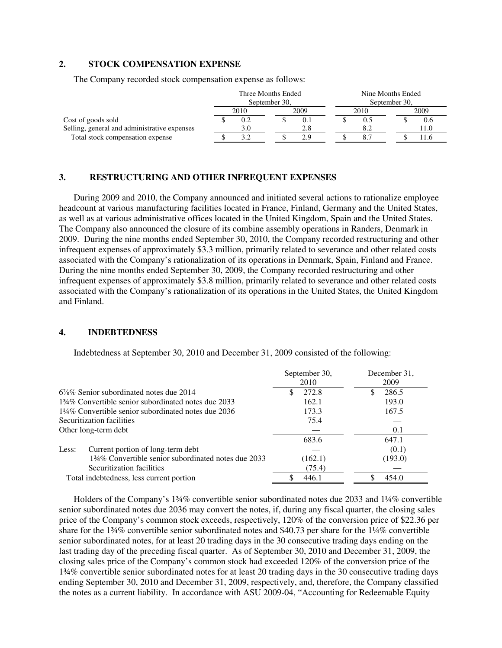### **2. STOCK COMPENSATION EXPENSE**

The Company recorded stock compensation expense as follows:

|                                              | Three Months Ended |      | Nine Months Ended |  |               |  |      |
|----------------------------------------------|--------------------|------|-------------------|--|---------------|--|------|
|                                              | September 30,      |      |                   |  | September 30, |  |      |
|                                              |                    | 2010 | 2009              |  | 2010          |  | 2009 |
| Cost of goods sold                           |                    | 0.2  |                   |  |               |  | V.O  |
| Selling, general and administrative expenses |                    | 3.0  | 2.8               |  |               |  | 0.1  |
| Total stock compensation expense             |                    |      | 2.9               |  |               |  | .1.0 |

#### **3. RESTRUCTURING AND OTHER INFREQUENT EXPENSES**

During 2009 and 2010, the Company announced and initiated several actions to rationalize employee headcount at various manufacturing facilities located in France, Finland, Germany and the United States, as well as at various administrative offices located in the United Kingdom, Spain and the United States. The Company also announced the closure of its combine assembly operations in Randers, Denmark in 2009. During the nine months ended September 30, 2010, the Company recorded restructuring and other infrequent expenses of approximately \$3.3 million, primarily related to severance and other related costs associated with the Company's rationalization of its operations in Denmark, Spain, Finland and France. During the nine months ended September 30, 2009, the Company recorded restructuring and other infrequent expenses of approximately \$3.8 million, primarily related to severance and other related costs associated with the Company's rationalization of its operations in the United States, the United Kingdom and Finland.

### **4. INDEBTEDNESS**

Indebtedness at September 30, 2010 and December 31, 2009 consisted of the following:

|                                                                 | September 30,<br>2010 | December 31.<br>2009 |
|-----------------------------------------------------------------|-----------------------|----------------------|
| $6\%$ % Senior subordinated notes due 2014                      | 272.8<br>S.           | 286.5                |
| 134\% Convertible senior subordinated notes due 2033            | 162.1                 | 193.0                |
| $1\frac{1}{4}\%$ Convertible senior subordinated notes due 2036 | 173.3                 | 167.5                |
| Securitization facilities                                       | 75.4                  |                      |
| Other long-term debt                                            |                       | 0.1                  |
|                                                                 | 683.6                 | 647.1                |
| Current portion of long-term debt<br>Less:                      |                       | (0.1)                |
| 134% Convertible senior subordinated notes due 2033             | (162.1)               | (193.0)              |
| Securitization facilities                                       | (75.4)                |                      |
| Total indebtedness, less current portion                        | 446.1                 | 454.0                |

 Holders of the Company's 1¾% convertible senior subordinated notes due 2033 and 1¼% convertible senior subordinated notes due 2036 may convert the notes, if, during any fiscal quarter, the closing sales price of the Company's common stock exceeds, respectively, 120% of the conversion price of \$22.36 per share for the 1¾% convertible senior subordinated notes and \$40.73 per share for the 1¼% convertible senior subordinated notes, for at least 20 trading days in the 30 consecutive trading days ending on the last trading day of the preceding fiscal quarter. As of September 30, 2010 and December 31, 2009, the closing sales price of the Company's common stock had exceeded 120% of the conversion price of the 1¾% convertible senior subordinated notes for at least 20 trading days in the 30 consecutive trading days ending September 30, 2010 and December 31, 2009, respectively, and, therefore, the Company classified the notes as a current liability. In accordance with ASU 2009-04, "Accounting for Redeemable Equity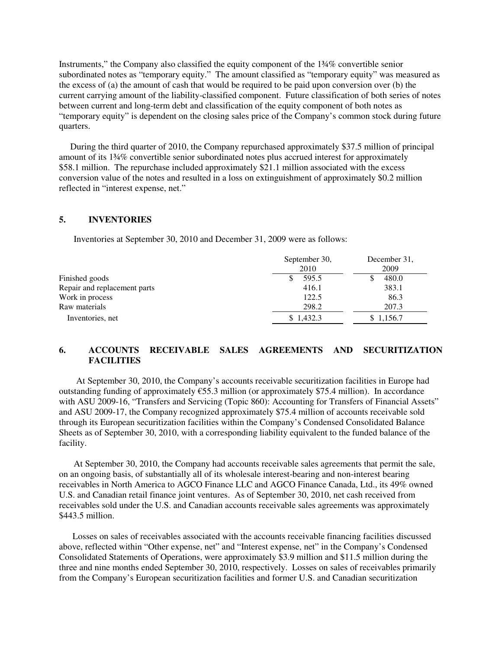Instruments," the Company also classified the equity component of the 1¾% convertible senior subordinated notes as "temporary equity." The amount classified as "temporary equity" was measured as the excess of (a) the amount of cash that would be required to be paid upon conversion over (b) the current carrying amount of the liability-classified component. Future classification of both series of notes between current and long-term debt and classification of the equity component of both notes as "temporary equity" is dependent on the closing sales price of the Company's common stock during future quarters.

 During the third quarter of 2010, the Company repurchased approximately \$37.5 million of principal amount of its 1¾% convertible senior subordinated notes plus accrued interest for approximately \$58.1 million. The repurchase included approximately \$21.1 million associated with the excess conversion value of the notes and resulted in a loss on extinguishment of approximately \$0.2 million reflected in "interest expense, net."

### **5. INVENTORIES**

Inventories at September 30, 2010 and December 31, 2009 were as follows:

|                              | September 30,<br>2010 | December 31.<br>2009 |
|------------------------------|-----------------------|----------------------|
| Finished goods               | 595.5                 | 480.0                |
| Repair and replacement parts | 416.1                 | 383.1                |
| Work in process              | 122.5                 | 86.3                 |
| Raw materials                | 298.2                 | 207.3                |
| Inventories, net             | \$1,432.3             | \$1,156.7            |

### **6. ACCOUNTS RECEIVABLE SALES AGREEMENTS AND SECURITIZATION FACILITIES**

 At September 30, 2010, the Company's accounts receivable securitization facilities in Europe had outstanding funding of approximately €55.3 million (or approximately \$75.4 million). In accordance with ASU 2009-16, "Transfers and Servicing (Topic 860): Accounting for Transfers of Financial Assets" and ASU 2009-17, the Company recognized approximately \$75.4 million of accounts receivable sold through its European securitization facilities within the Company's Condensed Consolidated Balance Sheets as of September 30, 2010, with a corresponding liability equivalent to the funded balance of the facility.

At September 30, 2010, the Company had accounts receivable sales agreements that permit the sale, on an ongoing basis, of substantially all of its wholesale interest-bearing and non-interest bearing receivables in North America to AGCO Finance LLC and AGCO Finance Canada, Ltd., its 49% owned U.S. and Canadian retail finance joint ventures. As of September 30, 2010, net cash received from receivables sold under the U.S. and Canadian accounts receivable sales agreements was approximately \$443.5 million.

 Losses on sales of receivables associated with the accounts receivable financing facilities discussed above, reflected within "Other expense, net" and "Interest expense, net" in the Company's Condensed Consolidated Statements of Operations, were approximately \$3.9 million and \$11.5 million during the three and nine months ended September 30, 2010, respectively. Losses on sales of receivables primarily from the Company's European securitization facilities and former U.S. and Canadian securitization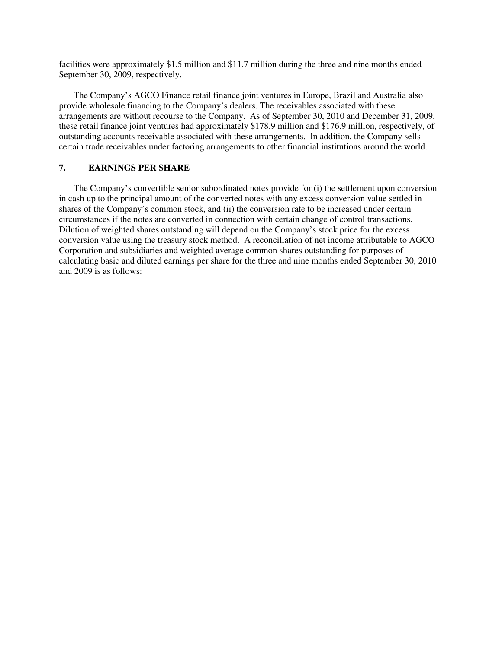facilities were approximately \$1.5 million and \$11.7 million during the three and nine months ended September 30, 2009, respectively.

The Company's AGCO Finance retail finance joint ventures in Europe, Brazil and Australia also provide wholesale financing to the Company's dealers. The receivables associated with these arrangements are without recourse to the Company. As of September 30, 2010 and December 31, 2009, these retail finance joint ventures had approximately \$178.9 million and \$176.9 million, respectively, of outstanding accounts receivable associated with these arrangements. In addition, the Company sells certain trade receivables under factoring arrangements to other financial institutions around the world.

### **7. EARNINGS PER SHARE**

The Company's convertible senior subordinated notes provide for (i) the settlement upon conversion in cash up to the principal amount of the converted notes with any excess conversion value settled in shares of the Company's common stock, and (ii) the conversion rate to be increased under certain circumstances if the notes are converted in connection with certain change of control transactions. Dilution of weighted shares outstanding will depend on the Company's stock price for the excess conversion value using the treasury stock method. A reconciliation of net income attributable to AGCO Corporation and subsidiaries and weighted average common shares outstanding for purposes of calculating basic and diluted earnings per share for the three and nine months ended September 30, 2010 and 2009 is as follows: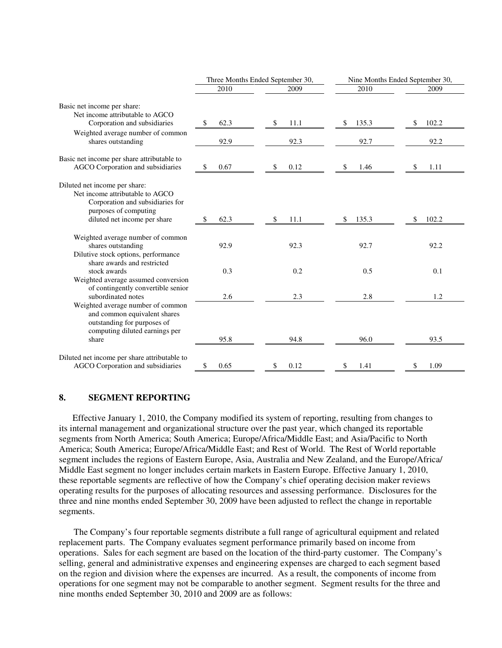|                                                                                                                                                                   |             | Three Months Ended September 30, | Nine Months Ended September 30, |             |  |
|-------------------------------------------------------------------------------------------------------------------------------------------------------------------|-------------|----------------------------------|---------------------------------|-------------|--|
|                                                                                                                                                                   | 2010        | 2009                             | 2010                            | 2009        |  |
| Basic net income per share:<br>Net income attributable to AGCO                                                                                                    |             |                                  |                                 |             |  |
| Corporation and subsidiaries                                                                                                                                      | \$<br>62.3  | 11.1<br>\$                       | 135.3<br>\$                     | 102.2<br>\$ |  |
| Weighted average number of common<br>shares outstanding                                                                                                           | 92.9        | 92.3                             | 92.7                            | 92.2        |  |
| Basic net income per share attributable to<br>AGCO Corporation and subsidiaries                                                                                   | \$<br>0.67  | 0.12<br>\$                       | 1.46<br>S                       | 1.11<br>S   |  |
| Diluted net income per share:<br>Net income attributable to AGCO<br>Corporation and subsidiaries for<br>purposes of computing<br>diluted net income per share     | 62.3<br>\$  | 11.1<br>S                        | 135.3<br>S                      | 102.2<br>S  |  |
| Weighted average number of common<br>shares outstanding<br>Dilutive stock options, performance<br>share awards and restricted                                     | 92.9        | 92.3                             | 92.7                            | 92.2        |  |
| stock awards<br>Weighted average assumed conversion<br>of contingently convertible senior                                                                         | 0.3         | 0.2                              | 0.5                             | 0.1         |  |
| subordinated notes<br>Weighted average number of common<br>and common equivalent shares<br>outstanding for purposes of<br>computing diluted earnings per<br>share | 2.6<br>95.8 | 2.3<br>94.8                      | 2.8<br>96.0                     | 1.2<br>93.5 |  |
| Diluted net income per share attributable to<br>AGCO Corporation and subsidiaries                                                                                 | \$<br>0.65  | 0.12<br>\$                       | \$<br>1.41                      | 1.09<br>\$  |  |

### **8. SEGMENT REPORTING**

 Effective January 1, 2010, the Company modified its system of reporting, resulting from changes to its internal management and organizational structure over the past year, which changed its reportable segments from North America; South America; Europe/Africa/Middle East; and Asia/Pacific to North America; South America; Europe/Africa/Middle East; and Rest of World. The Rest of World reportable segment includes the regions of Eastern Europe, Asia, Australia and New Zealand, and the Europe/Africa/ Middle East segment no longer includes certain markets in Eastern Europe. Effective January 1, 2010, these reportable segments are reflective of how the Company's chief operating decision maker reviews operating results for the purposes of allocating resources and assessing performance. Disclosures for the three and nine months ended September 30, 2009 have been adjusted to reflect the change in reportable segments.

The Company's four reportable segments distribute a full range of agricultural equipment and related replacement parts. The Company evaluates segment performance primarily based on income from operations. Sales for each segment are based on the location of the third-party customer. The Company's selling, general and administrative expenses and engineering expenses are charged to each segment based on the region and division where the expenses are incurred. As a result, the components of income from operations for one segment may not be comparable to another segment. Segment results for the three and nine months ended September 30, 2010 and 2009 are as follows: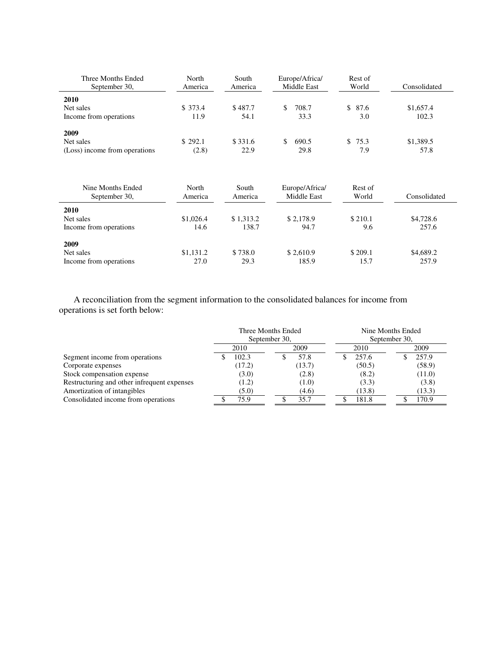| Three Months Ended<br>September 30,                | North<br>America | South<br>America | Europe/Africa/<br>Middle East | Rest of<br>World | Consolidated       |
|----------------------------------------------------|------------------|------------------|-------------------------------|------------------|--------------------|
| 2010<br>Net sales<br>Income from operations        | \$373.4<br>11.9  | \$487.7<br>54.1  | 708.7<br>S<br>33.3            | \$87.6<br>3.0    | \$1,657.4<br>102.3 |
| 2009<br>Net sales<br>(Loss) income from operations | \$292.1<br>(2.8) | \$331.6<br>22.9  | 690.5<br>S<br>29.8            | \$75.3<br>7.9    | \$1,389.5<br>57.8  |

| Nine Months Ended<br>September 30,          | North<br>America  | South<br>America   | Europe/Africa/<br>Middle East | Rest of<br>World | Consolidated       |
|---------------------------------------------|-------------------|--------------------|-------------------------------|------------------|--------------------|
| 2010<br>Net sales<br>Income from operations | \$1,026.4<br>14.6 | \$1,313.2<br>138.7 | \$2,178.9<br>94.7             | \$210.1<br>9.6   | \$4,728.6<br>257.6 |
| 2009<br>Net sales<br>Income from operations | \$1,131.2<br>27.0 | \$738.0<br>29.3    | \$2,610.9<br>185.9            | \$209.1<br>15.7  | \$4,689.2<br>257.9 |

A reconciliation from the segment information to the consolidated balances for income from operations is set forth below:

|                                             | Three Months Ended<br>September 30, |        | Nine Months Ended<br>September 30, |        |  |        |
|---------------------------------------------|-------------------------------------|--------|------------------------------------|--------|--|--------|
|                                             |                                     | 2010   | 2009                               | 2010   |  | 2009   |
| Segment income from operations              |                                     | 102.3  | 57.8                               | 257.6  |  | 257.9  |
| Corporate expenses                          |                                     | (17.2) | (13.7)                             | (50.5) |  | (58.9) |
| Stock compensation expense                  |                                     | (3.0)  | (2.8)                              | (8.2)  |  | (11.0) |
| Restructuring and other infrequent expenses |                                     | (1.2)  | (1.0)                              | (3.3)  |  | (3.8)  |
| Amortization of intangibles                 |                                     | (5.0)  | (4.6)                              | (13.8) |  | (13.3) |
| Consolidated income from operations         |                                     | 75.9   | 35.7                               | 181.8  |  | 170.9  |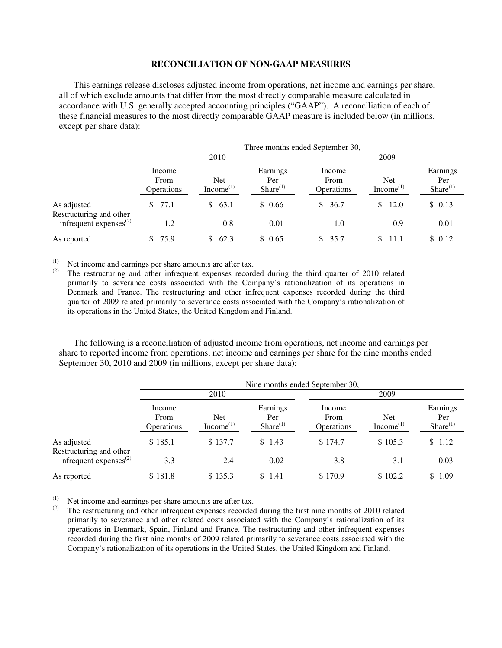#### **RECONCILIATION OF NON-GAAP MEASURES**

This earnings release discloses adjusted income from operations, net income and earnings per share, all of which exclude amounts that differ from the most directly comparable measure calculated in accordance with U.S. generally accepted accounting principles ("GAAP"). A reconciliation of each of these financial measures to the most directly comparable GAAP measure is included below (in millions, except per share data):

|                                        | Three months ended September 30,    |                                     |                                   |                                     |                                     |                                  |
|----------------------------------------|-------------------------------------|-------------------------------------|-----------------------------------|-------------------------------------|-------------------------------------|----------------------------------|
|                                        | 2010                                |                                     |                                   | 2009                                |                                     |                                  |
|                                        | Income<br>From<br><b>Operations</b> | <b>Net</b><br>Income <sup>(1)</sup> | Earnings<br>Per<br>Share $^{(1)}$ | Income<br>From<br><b>Operations</b> | <b>Net</b><br>Income <sup>(1)</sup> | Earnings<br>Per<br>$Share^{(1)}$ |
| As adjusted<br>Restructuring and other | \$77.1                              | \$63.1                              | \$0.66                            | \$36.7                              | 12.0<br>S                           | \$0.13                           |
| infrequent expenses $^{(2)}$           | 1.2                                 | 0.8                                 | 0.01                              | 1.0                                 | 0.9                                 | 0.01                             |
| As reported                            | 75.9                                | 62.3                                | \$0.65                            | \$35.7                              | 11.1                                | \$0.12                           |

(1) Net income and earnings per share amounts are after tax.<br>(2) The restructuring and other infrequent expenses record

The restructuring and other infrequent expenses recorded during the third quarter of 2010 related primarily to severance costs associated with the Company's rationalization of its operations in Denmark and France. The restructuring and other infrequent expenses recorded during the third quarter of 2009 related primarily to severance costs associated with the Company's rationalization of its operations in the United States, the United Kingdom and Finland.

The following is a reconciliation of adjusted income from operations, net income and earnings per share to reported income from operations, net income and earnings per share for the nine months ended September 30, 2010 and 2009 (in millions, except per share data):

|                                        | Nine months ended September 30, |                              |                                |                                     |                                     |                                  |  |  |
|----------------------------------------|---------------------------------|------------------------------|--------------------------------|-------------------------------------|-------------------------------------|----------------------------------|--|--|
|                                        |                                 | 2010                         |                                |                                     | 2009                                |                                  |  |  |
|                                        | Income<br>From<br>Operations    | Net<br>Income <sup>(1)</sup> | Earnings<br>Per<br>Share $(1)$ | Income<br>From<br><b>Operations</b> | <b>Net</b><br>Income <sup>(1)</sup> | Earnings<br>Per<br>$Share^{(1)}$ |  |  |
| As adjusted<br>Restructuring and other | \$185.1                         | \$137.7                      | \$1.43                         | \$174.7                             | \$105.3                             | \$1.12                           |  |  |
| infrequent expenses $^{(2)}$           | 3.3                             | 2.4                          | 0.02                           | 3.8                                 | 3.1                                 | 0.03                             |  |  |
| As reported                            | \$181.8                         | \$135.3                      | \$1.41                         | \$170.9                             | \$102.2                             | \$1.09                           |  |  |

(1) Net income and earnings per share amounts are after tax.<br>(2) The restructuring and other infraement expenses recorded

The restructuring and other infrequent expenses recorded during the first nine months of 2010 related primarily to severance and other related costs associated with the Company's rationalization of its operations in Denmark, Spain, Finland and France. The restructuring and other infrequent expenses recorded during the first nine months of 2009 related primarily to severance costs associated with the Company's rationalization of its operations in the United States, the United Kingdom and Finland.